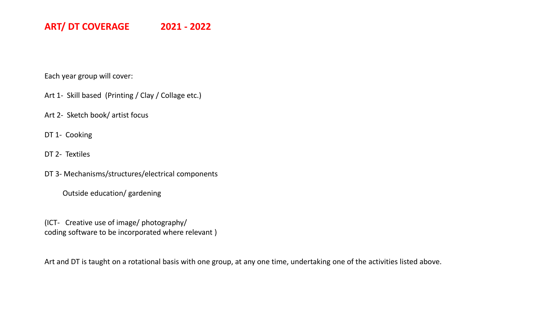Each year group will cover:

Art 1- Skill based (Printing / Clay / Collage etc.)

Art 2- Sketch book/ artist focus

DT 1- Cooking

DT 2- Textiles

DT 3- Mechanisms/structures/electrical components

Outside education/ gardening

(ICT- Creative use of image/ photography/ coding software to be incorporated where relevant )

Art and DT is taught on a rotational basis with one group, at any one time, undertaking one of the activities listed above.